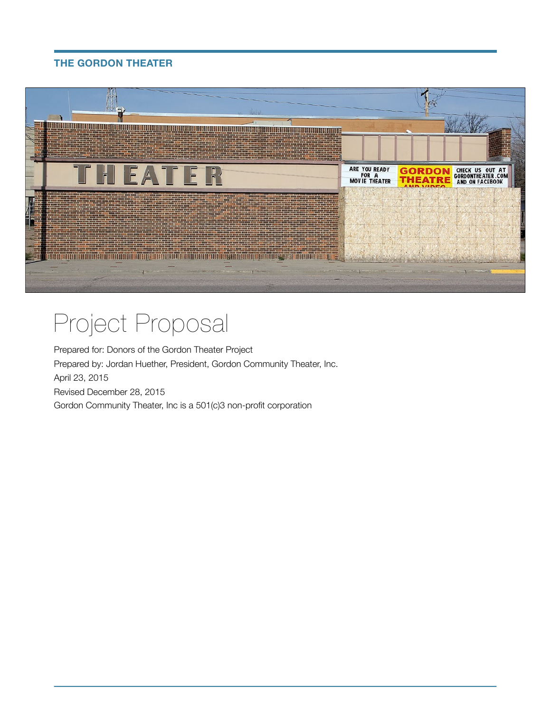

# Project Proposal

Prepared for: Donors of the Gordon Theater Project Prepared by: Jordan Huether, President, Gordon Community Theater, Inc. April 23, 2015 Revised December 28, 2015 Gordon Community Theater, Inc is a 501(c)3 non-profit corporation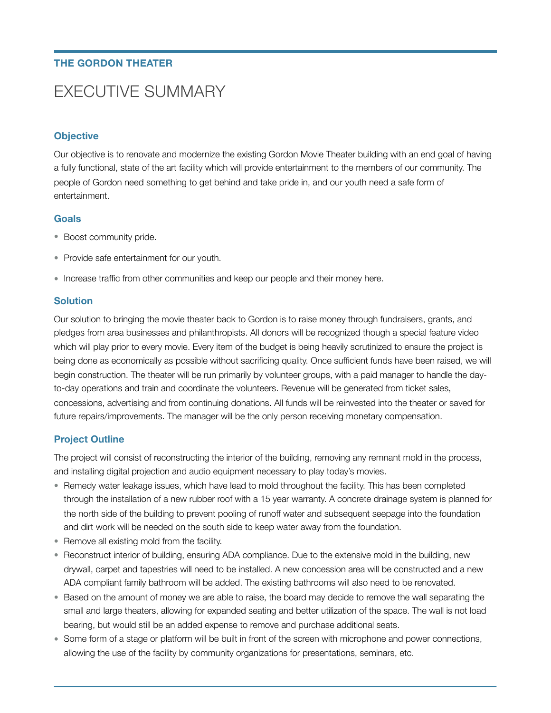# EXECUTIVE SUMMARY

### **Objective**

Our objective is to renovate and modernize the existing Gordon Movie Theater building with an end goal of having a fully functional, state of the art facility which will provide entertainment to the members of our community. The people of Gordon need something to get behind and take pride in, and our youth need a safe form of entertainment.

#### **Goals**

- Boost community pride.
- Provide safe entertainment for our youth.
- Increase traffic from other communities and keep our people and their money here.

#### **Solution**

Our solution to bringing the movie theater back to Gordon is to raise money through fundraisers, grants, and pledges from area businesses and philanthropists. All donors will be recognized though a special feature video which will play prior to every movie. Every item of the budget is being heavily scrutinized to ensure the project is being done as economically as possible without sacrificing quality. Once sufficient funds have been raised, we will begin construction. The theater will be run primarily by volunteer groups, with a paid manager to handle the dayto-day operations and train and coordinate the volunteers. Revenue will be generated from ticket sales, concessions, advertising and from continuing donations. All funds will be reinvested into the theater or saved for future repairs/improvements. The manager will be the only person receiving monetary compensation.

### **Project Outline**

The project will consist of reconstructing the interior of the building, removing any remnant mold in the process, and installing digital projection and audio equipment necessary to play today's movies.

- Remedy water leakage issues, which have lead to mold throughout the facility. This has been completed through the installation of a new rubber roof with a 15 year warranty. A concrete drainage system is planned for the north side of the building to prevent pooling of runoff water and subsequent seepage into the foundation and dirt work will be needed on the south side to keep water away from the foundation.
- Remove all existing mold from the facility.
- Reconstruct interior of building, ensuring ADA compliance. Due to the extensive mold in the building, new drywall, carpet and tapestries will need to be installed. A new concession area will be constructed and a new ADA compliant family bathroom will be added. The existing bathrooms will also need to be renovated.
- Based on the amount of money we are able to raise, the board may decide to remove the wall separating the small and large theaters, allowing for expanded seating and better utilization of the space. The wall is not load bearing, but would still be an added expense to remove and purchase additional seats.
- Some form of a stage or platform will be built in front of the screen with microphone and power connections, allowing the use of the facility by community organizations for presentations, seminars, etc.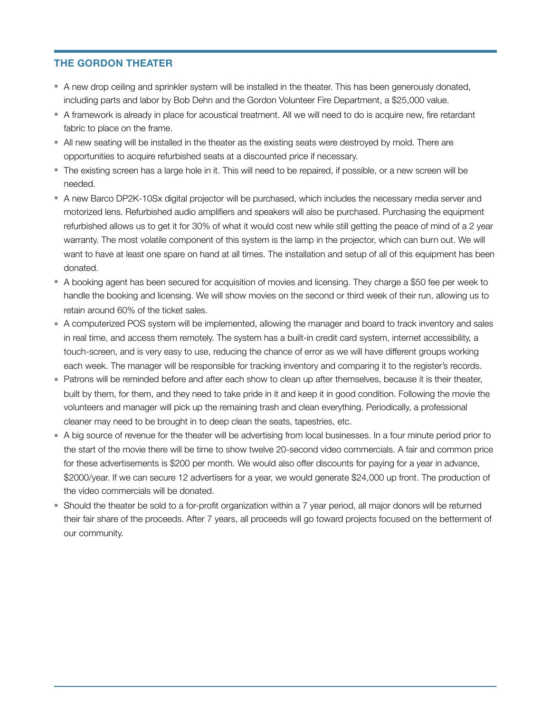- A new drop ceiling and sprinkler system will be installed in the theater. This has been generously donated, including parts and labor by Bob Dehn and the Gordon Volunteer Fire Department, a \$25,000 value.
- A framework is already in place for acoustical treatment. All we will need to do is acquire new, fire retardant fabric to place on the frame.
- All new seating will be installed in the theater as the existing seats were destroyed by mold. There are opportunities to acquire refurbished seats at a discounted price if necessary.
- The existing screen has a large hole in it. This will need to be repaired, if possible, or a new screen will be needed.
- A new Barco DP2K-10Sx digital projector will be purchased, which includes the necessary media server and motorized lens. Refurbished audio amplifiers and speakers will also be purchased. Purchasing the equipment refurbished allows us to get it for 30% of what it would cost new while still getting the peace of mind of a 2 year warranty. The most volatile component of this system is the lamp in the projector, which can burn out. We will want to have at least one spare on hand at all times. The installation and setup of all of this equipment has been donated.
- A booking agent has been secured for acquisition of movies and licensing. They charge a \$50 fee per week to handle the booking and licensing. We will show movies on the second or third week of their run, allowing us to retain around 60% of the ticket sales.
- A computerized POS system will be implemented, allowing the manager and board to track inventory and sales in real time, and access them remotely. The system has a built-in credit card system, internet accessibility, a touch-screen, and is very easy to use, reducing the chance of error as we will have different groups working each week. The manager will be responsible for tracking inventory and comparing it to the register's records.
- Patrons will be reminded before and after each show to clean up after themselves, because it is their theater, built by them, for them, and they need to take pride in it and keep it in good condition. Following the movie the volunteers and manager will pick up the remaining trash and clean everything. Periodically, a professional cleaner may need to be brought in to deep clean the seats, tapestries, etc.
- A big source of revenue for the theater will be advertising from local businesses. In a four minute period prior to the start of the movie there will be time to show twelve 20-second video commercials. A fair and common price for these advertisements is \$200 per month. We would also offer discounts for paying for a year in advance, \$2000/year. If we can secure 12 advertisers for a year, we would generate \$24,000 up front. The production of the video commercials will be donated.
- Should the theater be sold to a for-profit organization within a 7 year period, all major donors will be returned their fair share of the proceeds. After 7 years, all proceeds will go toward projects focused on the betterment of our community.